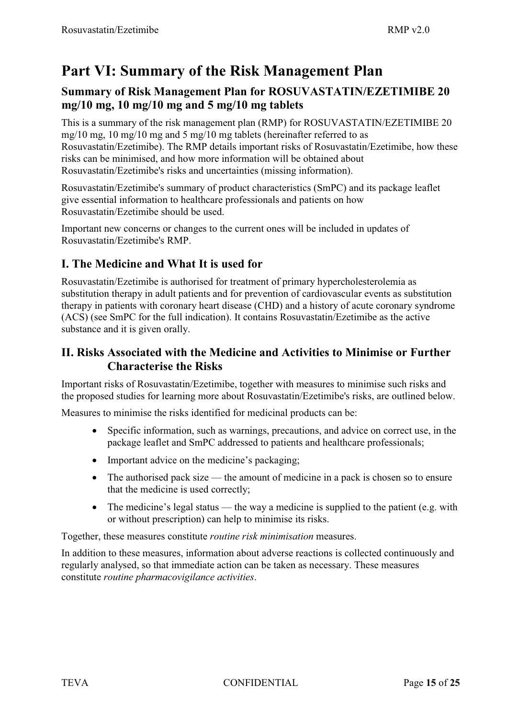# **Part VI: Summary of the Risk Management Plan**

# **Summary of Risk Management Plan for ROSUVASTATIN/EZETIMIBE 20 mg/10 mg, 10 mg/10 mg and 5 mg/10 mg tablets**

This is a summary of the risk management plan (RMP) for ROSUVASTATIN/EZETIMIBE 20 mg/10 mg, 10 mg/10 mg and 5 mg/10 mg tablets (hereinafter referred to as Rosuvastatin/Ezetimibe). The RMP details important risks of Rosuvastatin/Ezetimibe, how these risks can be minimised, and how more information will be obtained about Rosuvastatin/Ezetimibe's risks and uncertainties (missing information).

Rosuvastatin/Ezetimibe's summary of product characteristics (SmPC) and its package leaflet give essential information to healthcare professionals and patients on how Rosuvastatin/Ezetimibe should be used.

Important new concerns or changes to the current ones will be included in updates of Rosuvastatin/Ezetimibe's RMP.

# **I. The Medicine and What It is used for**

Rosuvastatin/Ezetimibe is authorised for treatment of primary hypercholesterolemia as substitution therapy in adult patients and for prevention of cardiovascular events as substitution therapy in patients with coronary heart disease (CHD) and a history of acute coronary syndrome (ACS) (see SmPC for the full indication). It contains Rosuvastatin/Ezetimibe as the active substance and it is given orally.

### **II. Risks Associated with the Medicine and Activities to Minimise or Further Characterise the Risks**

Important risks of Rosuvastatin/Ezetimibe, together with measures to minimise such risks and the proposed studies for learning more about Rosuvastatin/Ezetimibe's risks, are outlined below.

Measures to minimise the risks identified for medicinal products can be:

- $\bullet$  Specific information, such as warnings, precautions, and advice on correct use, in the package leaflet and SmPC addressed to patients and healthcare professionals;
- Important advice on the medicine's packaging;
- The authorised pack size the amount of medicine in a pack is chosen so to ensure that the medicine is used correctly;
- The medicine's legal status the way a medicine is supplied to the patient (e.g. with or without prescription) can help to minimise its risks.

Together, these measures constitute *routine risk minimisation* measures.

In addition to these measures, information about adverse reactions is collected continuously and regularly analysed, so that immediate action can be taken as necessary. These measures constitute *routine pharmacovigilance activities*.